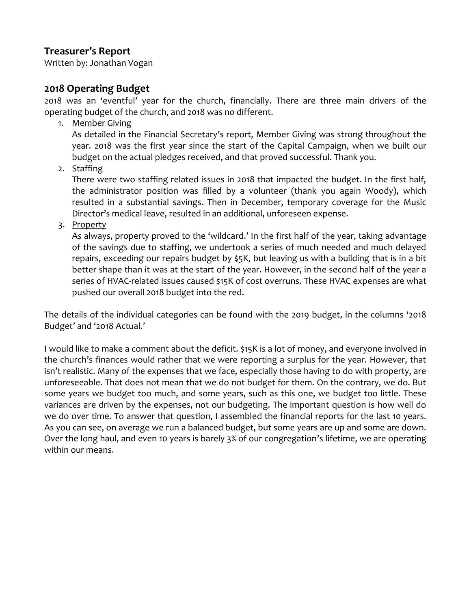## **Treasurer's Report**

Written by: Jonathan Vogan

## **2018 Operating Budget**

2018 was an 'eventful' year for the church, financially. There are three main drivers of the operating budget of the church, and 2018 was no different.

1. Member Giving

As detailed in the Financial Secretary's report, Member Giving was strong throughout the year. 2018 was the first year since the start of the Capital Campaign, when we built our budget on the actual pledges received, and that proved successful. Thank you.

2. Staffing

There were two staffing related issues in 2018 that impacted the budget. In the first half, the administrator position was filled by a volunteer (thank you again Woody), which resulted in a substantial savings. Then in December, temporary coverage for the Music Director's medical leave, resulted in an additional, unforeseen expense.

3. Property

As always, property proved to the 'wildcard.' In the first half of the year, taking advantage of the savings due to staffing, we undertook a series of much needed and much delayed repairs, exceeding our repairs budget by \$5K, but leaving us with a building that is in a bit better shape than it was at the start of the year. However, in the second half of the year a series of HVAC-related issues caused \$15K of cost overruns. These HVAC expenses are what pushed our overall 2018 budget into the red.

The details of the individual categories can be found with the 2019 budget, in the columns '2018 Budget' and '2018 Actual.'

I would like to make a comment about the deficit. \$15K is a lot of money, and everyone involved in the church's finances would rather that we were reporting a surplus for the year. However, that isn't realistic. Many of the expenses that we face, especially those having to do with property, are unforeseeable. That does not mean that we do not budget for them. On the contrary, we do. But some years we budget too much, and some years, such as this one, we budget too little. These variances are driven by the expenses, not our budgeting. The important question is how well do we do over time. To answer that question, I assembled the financial reports for the last 10 years. As you can see, on average we run a balanced budget, but some years are up and some are down. Over the long haul, and even 10 years is barely 3% of our congregation's lifetime, we are operating within our means.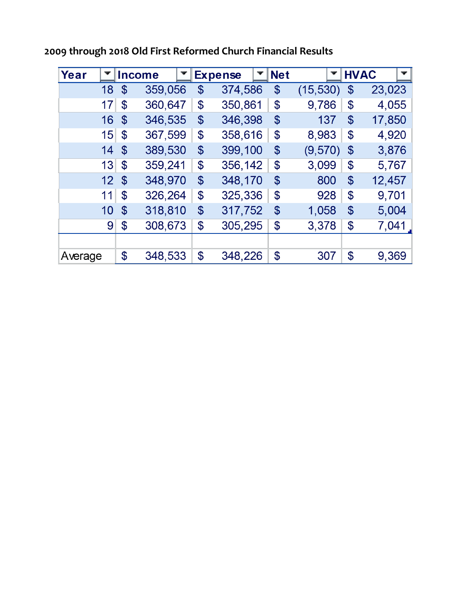| Year            |                            | <b>Income</b> | <b>Expense</b> | <b>Net</b>                 |           |                            | <b>HVAC</b> |
|-----------------|----------------------------|---------------|----------------|----------------------------|-----------|----------------------------|-------------|
| 18              | \$                         | 359,056       | \$<br>374,586  | \$                         | (15, 530) | \$                         | 23,023      |
| 17              | $\mathbf{\$}$              | 360,647       | \$<br>350,861  | $\boldsymbol{\theta}$      | 9,786     | \$                         | 4,055       |
| 16              | $\boldsymbol{\$}$          | 346,535       | \$<br>346,398  | $\boldsymbol{\mathcal{S}}$ | 137       | \$                         | 17,850      |
| 15              | $\boldsymbol{\mathcal{S}}$ | 367,599       | \$<br>358,616  | $\boldsymbol{\theta}$      | 8,983     | $\boldsymbol{\mathcal{S}}$ | 4,920       |
| 14              | $\mathbf{\$}$              | 389,530       | \$<br>399,100  | $\boldsymbol{\mathcal{S}}$ | (9,570)   | $\mathcal{S}$              | 3,876       |
| 13              | $\mathfrak{F}$             | 359,241       | \$<br>356,142  | \$                         | 3,099     | \$                         | 5,767       |
| 12 <sub>2</sub> | $\mathfrak{F}$             | 348,970       | \$<br>348,170  | $\boldsymbol{\mathcal{S}}$ | 800       | $\mathbf{\$}$              | 12,457      |
| 11              | \$                         | 326,264       | \$<br>325,336  | $\boldsymbol{\mathcal{S}}$ | 928       | \$                         | 9,701       |
| 10              | $\mathfrak{F}$             | 318,810       | \$<br>317,752  | $\boldsymbol{\mathcal{S}}$ | 1,058     | \$                         | 5,004       |
| 9               | $\boldsymbol{\mathcal{S}}$ | 308,673       | \$<br>305,295  | \$                         | 3,378     | \$                         | 7,041       |
|                 |                            |               |                |                            |           |                            |             |
| Average         | \$                         | 348,533       | \$<br>348,226  | \$                         | 307       | \$                         | 9,369       |

**2009 through 2018 Old First Reformed Church Financial Results**